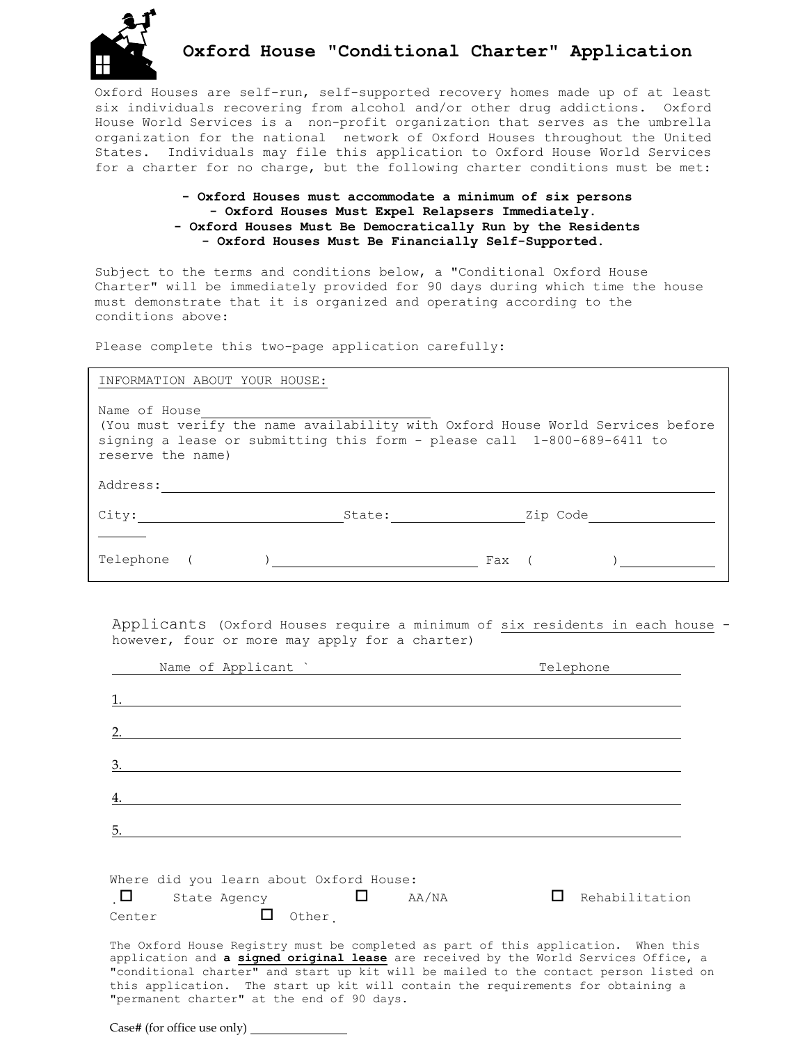

# **Oxford House "Conditional Charter" Application**

Oxford Houses are self-run, self-supported recovery homes made up of at least six individuals recovering from alcohol and/or other drug addictions. Oxford House World Services is a non-profit organization that serves as the umbrella organization for the national network of Oxford Houses throughout the United States. Individuals may file this application to Oxford House World Services for a charter for no charge, but the following charter conditions must be met:

### **- Oxford Houses must accommodate a minimum of six persons - Oxford Houses Must Expel Relapsers Immediately. - Oxford Houses Must Be Democratically Run by the Residents - Oxford Houses Must Be Financially Self-Supported.**

Subject to the terms and conditions below, a "Conditional Oxford House Charter" will be immediately provided for 90 days during which time the house must demonstrate that it is organized and operating according to the conditions above:

Please complete this two-page application carefully:

#### INFORMATION ABOUT YOUR HOUSE:

Name of House (You must verify the name availability with Oxford House World Services before signing a lease or submitting this form - please call 1-800-689-6411 to reserve the name) Address:

| Telephone |  | Fax |  |
|-----------|--|-----|--|

City: State: Zip Code

Applicants (Oxford Houses require a minimum of six residents in each house however, four or more may apply for a charter)

| Name of Applicant                                                                                                                                                                                                                                                                                                                                                                                     | Telephone      |
|-------------------------------------------------------------------------------------------------------------------------------------------------------------------------------------------------------------------------------------------------------------------------------------------------------------------------------------------------------------------------------------------------------|----------------|
|                                                                                                                                                                                                                                                                                                                                                                                                       |                |
|                                                                                                                                                                                                                                                                                                                                                                                                       |                |
| 3.                                                                                                                                                                                                                                                                                                                                                                                                    |                |
|                                                                                                                                                                                                                                                                                                                                                                                                       |                |
| 5.                                                                                                                                                                                                                                                                                                                                                                                                    |                |
| Where did you learn about Oxford House:<br>ப<br>AA/NA<br>State Agency<br>Other<br>Center                                                                                                                                                                                                                                                                                                              | Rehabilitation |
| The Oxford House Registry must be completed as part of this application. When this<br>application and a signed original lease are received by the World Services Office, a<br>"conditional charter" and start up kit will be mailed to the contact person listed on<br>this application. The start up kit will contain the requirements for obtaining a<br>"permanent charter" at the end of 90 days. |                |

Case# (for office use only)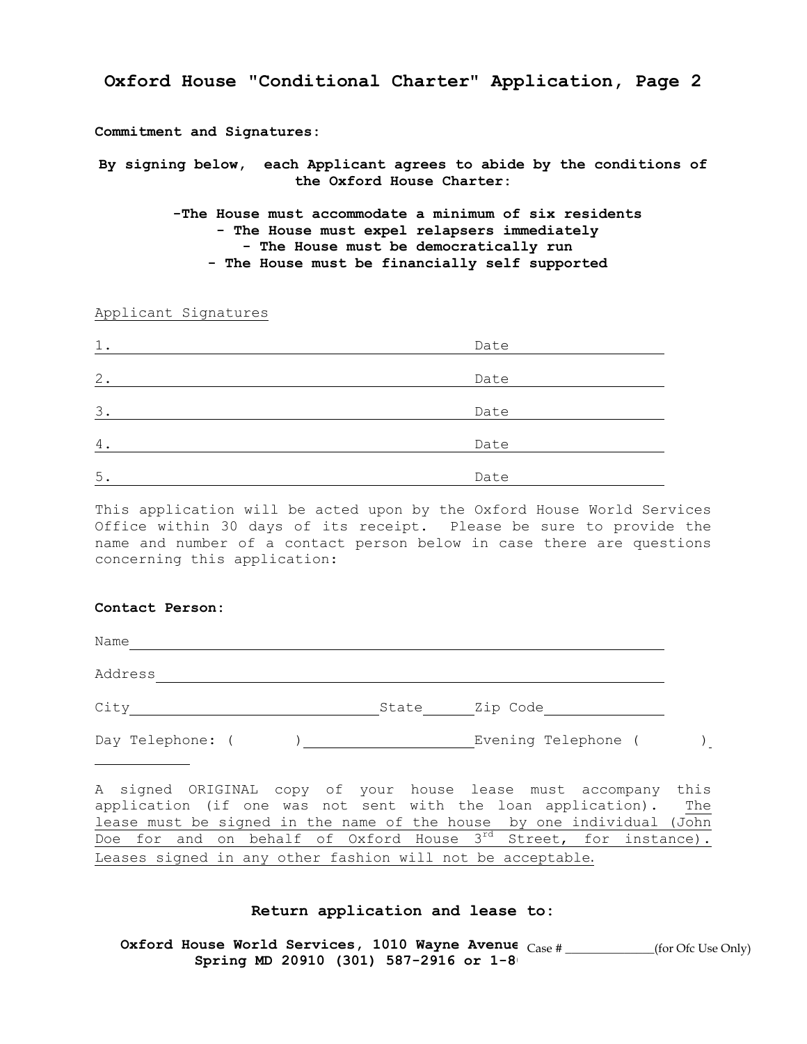**Oxford House "Conditional Charter" Application, Page 2**

**Commitment and Signatures:** 

**By signing below, each Applicant agrees to abide by the conditions of the Oxford House Charter:** 

> **-The House must accommodate a minimum of six residents - The House must expel relapsers immediately - The House must be democratically run - The House must be financially self supported**

Applicant Signatures

| 1.    | Date |
|-------|------|
| $2$ . | Date |
|       |      |
| 3.    | Date |
| 4.    | Date |
| 5.    | Date |

This application will be acted upon by the Oxford House World Services Office within 30 days of its receipt. Please be sure to provide the name and number of a contact person below in case there are questions concerning this application:

### **Contact Person:**

Name and the contract of the contract of the contract of the contract of the contract of the contract of the contract of the contract of the contract of the contract of the contract of the contract of the contract of the c

Address

City City State Zip Code

Day Telephone: ( ) Evening Telephone ( )

A signed ORIGINAL copy of your house lease must accompany this application (if one was not sent with the loan application). The lease must be signed in the name of the house by one individual (John Doe for and on behalf of Oxford House 3<sup>rd</sup> Street, for instance). Leases signed in any other fashion will not be acceptable.

#### **Return application and lease to:**

Oxford House World Services, 1010 Wayne Avenue  $\frac{1}{\text{Case 4}}$  \_\_\_\_\_\_\_\_\_(for Ofc Use Only) Spring MD 20910 (301) 587-2916 or 1-8